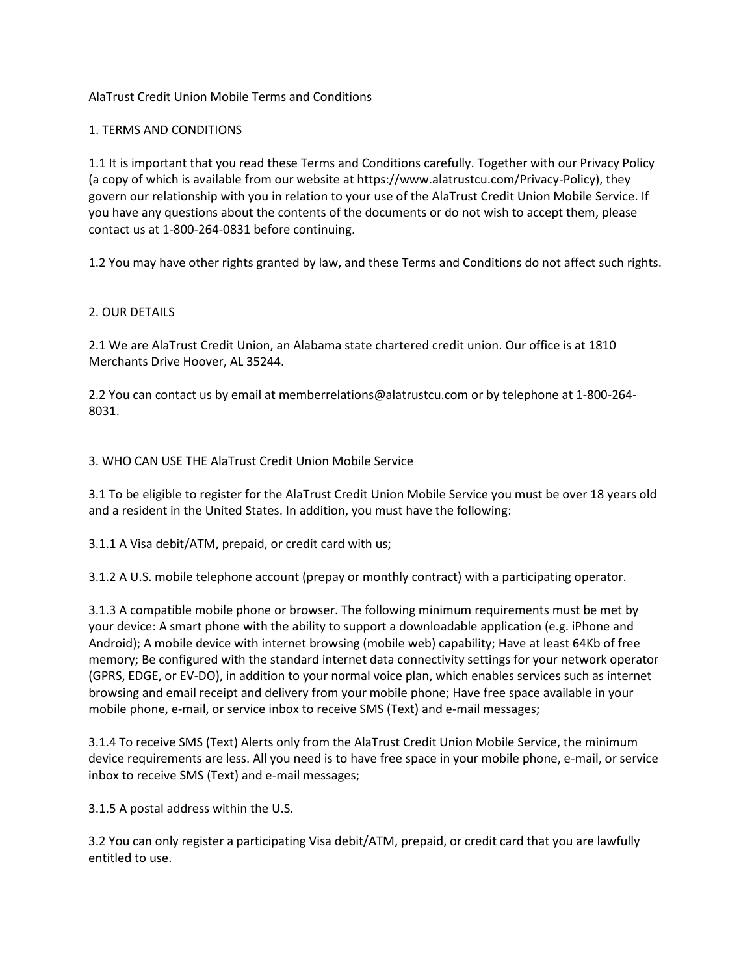# AlaTrust Credit Union Mobile Terms and Conditions

## 1. TERMS AND CONDITIONS

1.1 It is important that you read these Terms and Conditions carefully. Together with our Privacy Policy (a copy of which is available from our website at https://www.alatrustcu.com/Privacy-Policy), they govern our relationship with you in relation to your use of the AlaTrust Credit Union Mobile Service. If you have any questions about the contents of the documents or do not wish to accept them, please contact us at 1-800-264-0831 before continuing.

1.2 You may have other rights granted by law, and these Terms and Conditions do not affect such rights.

# 2. OUR DETAILS

2.1 We are AlaTrust Credit Union, an Alabama state chartered credit union. Our office is at 1810 Merchants Drive Hoover, AL 35244.

2.2 You can contact us by email at memberrelations@alatrustcu.com or by telephone at 1-800-264- 8031.

## 3. WHO CAN USE THE AlaTrust Credit Union Mobile Service

3.1 To be eligible to register for the AlaTrust Credit Union Mobile Service you must be over 18 years old and a resident in the United States. In addition, you must have the following:

3.1.1 A Visa debit/ATM, prepaid, or credit card with us;

3.1.2 A U.S. mobile telephone account (prepay or monthly contract) with a participating operator.

3.1.3 A compatible mobile phone or browser. The following minimum requirements must be met by your device: A smart phone with the ability to support a downloadable application (e.g. iPhone and Android); A mobile device with internet browsing (mobile web) capability; Have at least 64Kb of free memory; Be configured with the standard internet data connectivity settings for your network operator (GPRS, EDGE, or EV-DO), in addition to your normal voice plan, which enables services such as internet browsing and email receipt and delivery from your mobile phone; Have free space available in your mobile phone, e-mail, or service inbox to receive SMS (Text) and e-mail messages;

3.1.4 To receive SMS (Text) Alerts only from the AlaTrust Credit Union Mobile Service, the minimum device requirements are less. All you need is to have free space in your mobile phone, e-mail, or service inbox to receive SMS (Text) and e-mail messages;

3.1.5 A postal address within the U.S.

3.2 You can only register a participating Visa debit/ATM, prepaid, or credit card that you are lawfully entitled to use.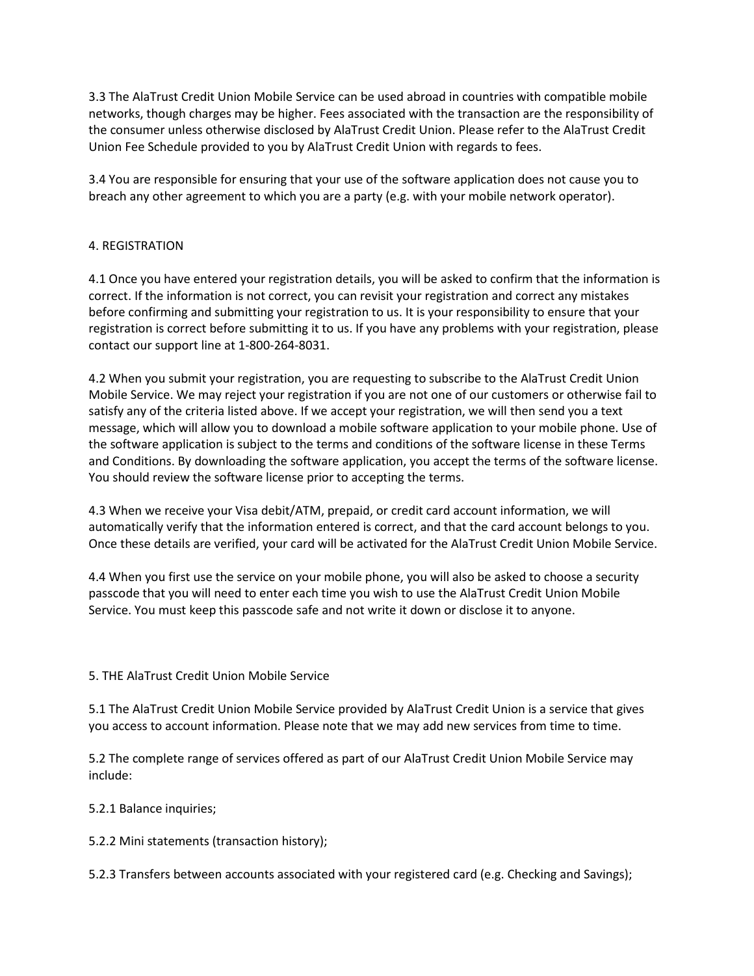3.3 The AlaTrust Credit Union Mobile Service can be used abroad in countries with compatible mobile networks, though charges may be higher. Fees associated with the transaction are the responsibility of the consumer unless otherwise disclosed by AlaTrust Credit Union. Please refer to the AlaTrust Credit Union Fee Schedule provided to you by AlaTrust Credit Union with regards to fees.

3.4 You are responsible for ensuring that your use of the software application does not cause you to breach any other agreement to which you are a party (e.g. with your mobile network operator).

# 4. REGISTRATION

4.1 Once you have entered your registration details, you will be asked to confirm that the information is correct. If the information is not correct, you can revisit your registration and correct any mistakes before confirming and submitting your registration to us. It is your responsibility to ensure that your registration is correct before submitting it to us. If you have any problems with your registration, please contact our support line at 1-800-264-8031.

4.2 When you submit your registration, you are requesting to subscribe to the AlaTrust Credit Union Mobile Service. We may reject your registration if you are not one of our customers or otherwise fail to satisfy any of the criteria listed above. If we accept your registration, we will then send you a text message, which will allow you to download a mobile software application to your mobile phone. Use of the software application is subject to the terms and conditions of the software license in these Terms and Conditions. By downloading the software application, you accept the terms of the software license. You should review the software license prior to accepting the terms.

4.3 When we receive your Visa debit/ATM, prepaid, or credit card account information, we will automatically verify that the information entered is correct, and that the card account belongs to you. Once these details are verified, your card will be activated for the AlaTrust Credit Union Mobile Service.

4.4 When you first use the service on your mobile phone, you will also be asked to choose a security passcode that you will need to enter each time you wish to use the AlaTrust Credit Union Mobile Service. You must keep this passcode safe and not write it down or disclose it to anyone.

# 5. THE AlaTrust Credit Union Mobile Service

5.1 The AlaTrust Credit Union Mobile Service provided by AlaTrust Credit Union is a service that gives you access to account information. Please note that we may add new services from time to time.

5.2 The complete range of services offered as part of our AlaTrust Credit Union Mobile Service may include:

5.2.1 Balance inquiries;

5.2.2 Mini statements (transaction history);

5.2.3 Transfers between accounts associated with your registered card (e.g. Checking and Savings);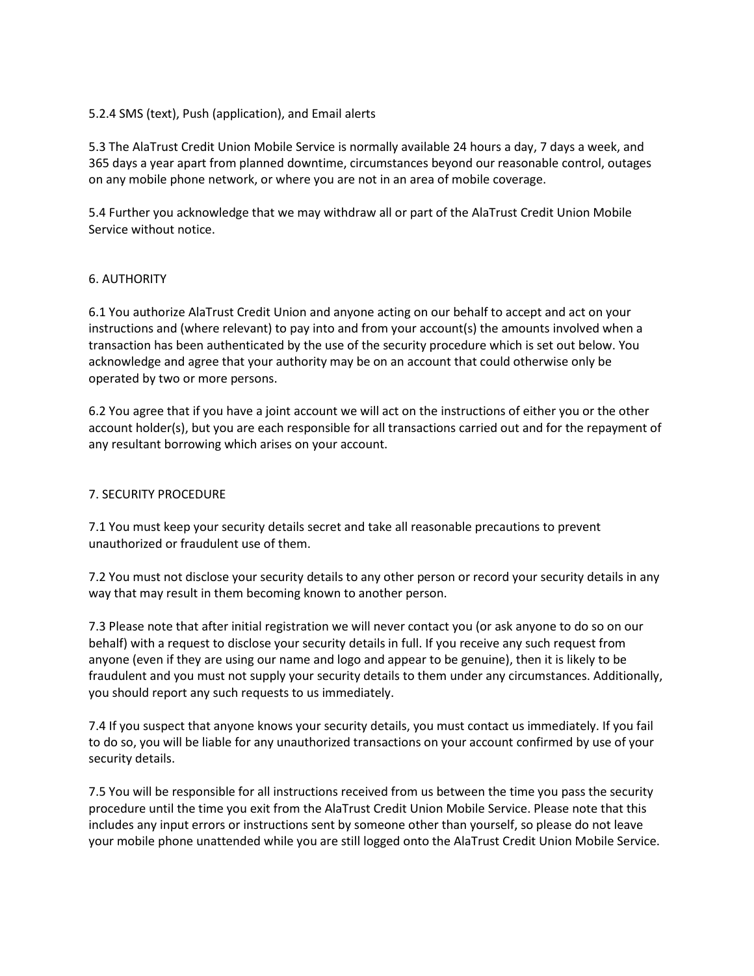## 5.2.4 SMS (text), Push (application), and Email alerts

5.3 The AlaTrust Credit Union Mobile Service is normally available 24 hours a day, 7 days a week, and 365 days a year apart from planned downtime, circumstances beyond our reasonable control, outages on any mobile phone network, or where you are not in an area of mobile coverage.

5.4 Further you acknowledge that we may withdraw all or part of the AlaTrust Credit Union Mobile Service without notice.

#### 6. AUTHORITY

6.1 You authorize AlaTrust Credit Union and anyone acting on our behalf to accept and act on your instructions and (where relevant) to pay into and from your account(s) the amounts involved when a transaction has been authenticated by the use of the security procedure which is set out below. You acknowledge and agree that your authority may be on an account that could otherwise only be operated by two or more persons.

6.2 You agree that if you have a joint account we will act on the instructions of either you or the other account holder(s), but you are each responsible for all transactions carried out and for the repayment of any resultant borrowing which arises on your account.

### 7. SECURITY PROCEDURE

7.1 You must keep your security details secret and take all reasonable precautions to prevent unauthorized or fraudulent use of them.

7.2 You must not disclose your security details to any other person or record your security details in any way that may result in them becoming known to another person.

7.3 Please note that after initial registration we will never contact you (or ask anyone to do so on our behalf) with a request to disclose your security details in full. If you receive any such request from anyone (even if they are using our name and logo and appear to be genuine), then it is likely to be fraudulent and you must not supply your security details to them under any circumstances. Additionally, you should report any such requests to us immediately.

7.4 If you suspect that anyone knows your security details, you must contact us immediately. If you fail to do so, you will be liable for any unauthorized transactions on your account confirmed by use of your security details.

7.5 You will be responsible for all instructions received from us between the time you pass the security procedure until the time you exit from the AlaTrust Credit Union Mobile Service. Please note that this includes any input errors or instructions sent by someone other than yourself, so please do not leave your mobile phone unattended while you are still logged onto the AlaTrust Credit Union Mobile Service.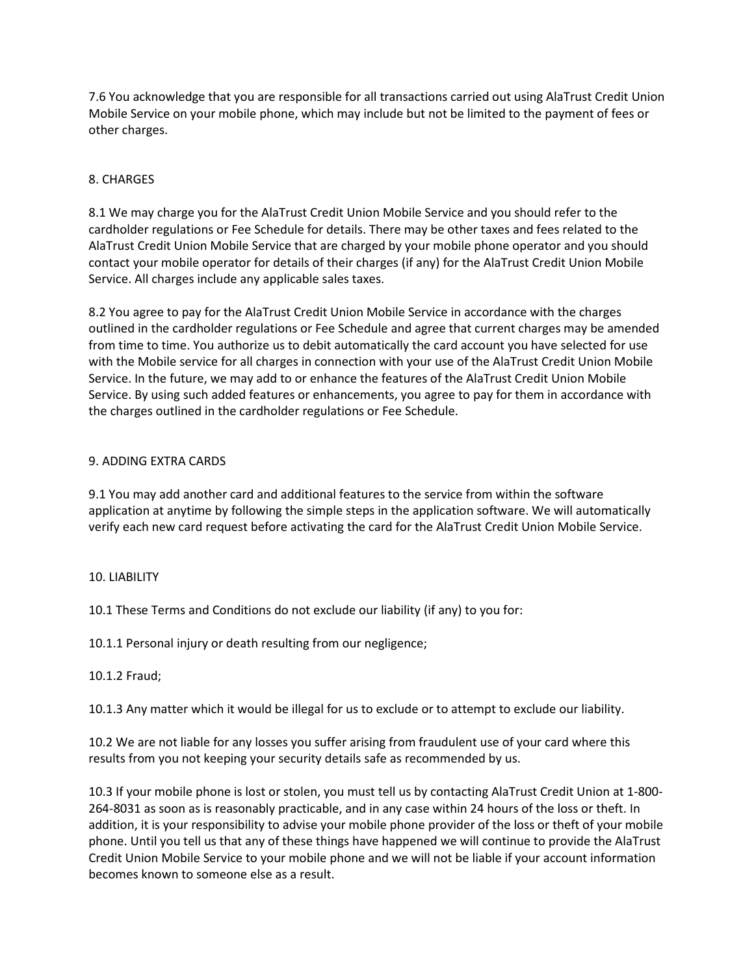7.6 You acknowledge that you are responsible for all transactions carried out using AlaTrust Credit Union Mobile Service on your mobile phone, which may include but not be limited to the payment of fees or other charges.

# 8. CHARGES

8.1 We may charge you for the AlaTrust Credit Union Mobile Service and you should refer to the cardholder regulations or Fee Schedule for details. There may be other taxes and fees related to the AlaTrust Credit Union Mobile Service that are charged by your mobile phone operator and you should contact your mobile operator for details of their charges (if any) for the AlaTrust Credit Union Mobile Service. All charges include any applicable sales taxes.

8.2 You agree to pay for the AlaTrust Credit Union Mobile Service in accordance with the charges outlined in the cardholder regulations or Fee Schedule and agree that current charges may be amended from time to time. You authorize us to debit automatically the card account you have selected for use with the Mobile service for all charges in connection with your use of the AlaTrust Credit Union Mobile Service. In the future, we may add to or enhance the features of the AlaTrust Credit Union Mobile Service. By using such added features or enhancements, you agree to pay for them in accordance with the charges outlined in the cardholder regulations or Fee Schedule.

## 9. ADDING EXTRA CARDS

9.1 You may add another card and additional features to the service from within the software application at anytime by following the simple steps in the application software. We will automatically verify each new card request before activating the card for the AlaTrust Credit Union Mobile Service.

## 10. LIABILITY

10.1 These Terms and Conditions do not exclude our liability (if any) to you for:

10.1.1 Personal injury or death resulting from our negligence;

10.1.2 Fraud;

10.1.3 Any matter which it would be illegal for us to exclude or to attempt to exclude our liability.

10.2 We are not liable for any losses you suffer arising from fraudulent use of your card where this results from you not keeping your security details safe as recommended by us.

10.3 If your mobile phone is lost or stolen, you must tell us by contacting AlaTrust Credit Union at 1-800- 264-8031 as soon as is reasonably practicable, and in any case within 24 hours of the loss or theft. In addition, it is your responsibility to advise your mobile phone provider of the loss or theft of your mobile phone. Until you tell us that any of these things have happened we will continue to provide the AlaTrust Credit Union Mobile Service to your mobile phone and we will not be liable if your account information becomes known to someone else as a result.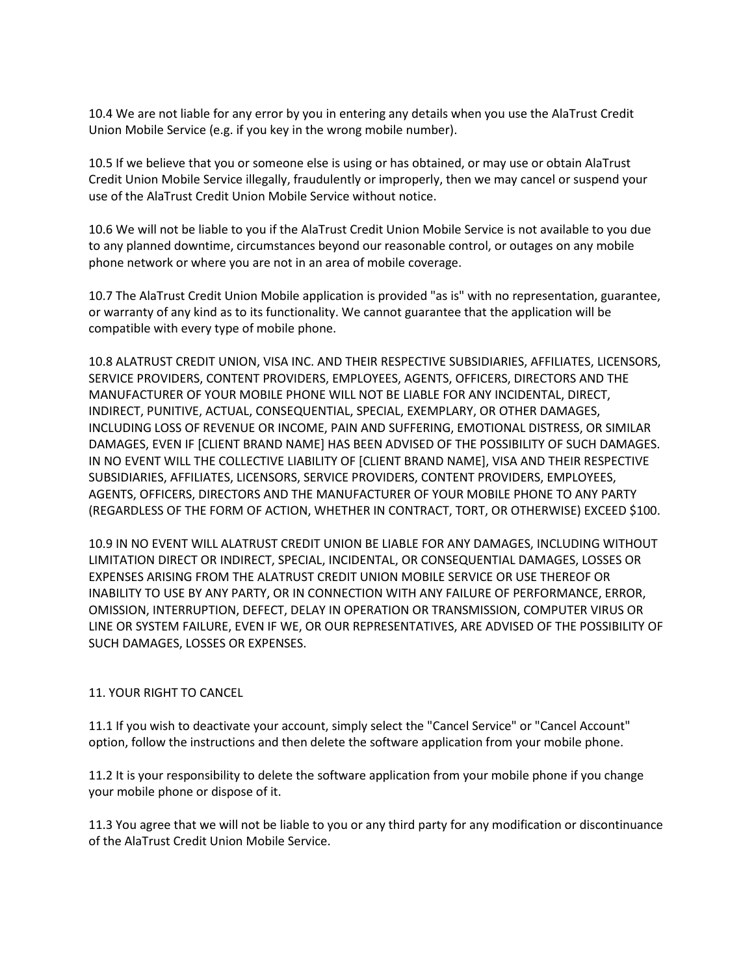10.4 We are not liable for any error by you in entering any details when you use the AlaTrust Credit Union Mobile Service (e.g. if you key in the wrong mobile number).

10.5 If we believe that you or someone else is using or has obtained, or may use or obtain AlaTrust Credit Union Mobile Service illegally, fraudulently or improperly, then we may cancel or suspend your use of the AlaTrust Credit Union Mobile Service without notice.

10.6 We will not be liable to you if the AlaTrust Credit Union Mobile Service is not available to you due to any planned downtime, circumstances beyond our reasonable control, or outages on any mobile phone network or where you are not in an area of mobile coverage.

10.7 The AlaTrust Credit Union Mobile application is provided "as is" with no representation, guarantee, or warranty of any kind as to its functionality. We cannot guarantee that the application will be compatible with every type of mobile phone.

10.8 ALATRUST CREDIT UNION, VISA INC. AND THEIR RESPECTIVE SUBSIDIARIES, AFFILIATES, LICENSORS, SERVICE PROVIDERS, CONTENT PROVIDERS, EMPLOYEES, AGENTS, OFFICERS, DIRECTORS AND THE MANUFACTURER OF YOUR MOBILE PHONE WILL NOT BE LIABLE FOR ANY INCIDENTAL, DIRECT, INDIRECT, PUNITIVE, ACTUAL, CONSEQUENTIAL, SPECIAL, EXEMPLARY, OR OTHER DAMAGES, INCLUDING LOSS OF REVENUE OR INCOME, PAIN AND SUFFERING, EMOTIONAL DISTRESS, OR SIMILAR DAMAGES, EVEN IF [CLIENT BRAND NAME] HAS BEEN ADVISED OF THE POSSIBILITY OF SUCH DAMAGES. IN NO EVENT WILL THE COLLECTIVE LIABILITY OF [CLIENT BRAND NAME], VISA AND THEIR RESPECTIVE SUBSIDIARIES, AFFILIATES, LICENSORS, SERVICE PROVIDERS, CONTENT PROVIDERS, EMPLOYEES, AGENTS, OFFICERS, DIRECTORS AND THE MANUFACTURER OF YOUR MOBILE PHONE TO ANY PARTY (REGARDLESS OF THE FORM OF ACTION, WHETHER IN CONTRACT, TORT, OR OTHERWISE) EXCEED \$100.

10.9 IN NO EVENT WILL ALATRUST CREDIT UNION BE LIABLE FOR ANY DAMAGES, INCLUDING WITHOUT LIMITATION DIRECT OR INDIRECT, SPECIAL, INCIDENTAL, OR CONSEQUENTIAL DAMAGES, LOSSES OR EXPENSES ARISING FROM THE ALATRUST CREDIT UNION MOBILE SERVICE OR USE THEREOF OR INABILITY TO USE BY ANY PARTY, OR IN CONNECTION WITH ANY FAILURE OF PERFORMANCE, ERROR, OMISSION, INTERRUPTION, DEFECT, DELAY IN OPERATION OR TRANSMISSION, COMPUTER VIRUS OR LINE OR SYSTEM FAILURE, EVEN IF WE, OR OUR REPRESENTATIVES, ARE ADVISED OF THE POSSIBILITY OF SUCH DAMAGES, LOSSES OR EXPENSES.

## 11. YOUR RIGHT TO CANCEL

11.1 If you wish to deactivate your account, simply select the "Cancel Service" or "Cancel Account" option, follow the instructions and then delete the software application from your mobile phone.

11.2 It is your responsibility to delete the software application from your mobile phone if you change your mobile phone or dispose of it.

11.3 You agree that we will not be liable to you or any third party for any modification or discontinuance of the AlaTrust Credit Union Mobile Service.